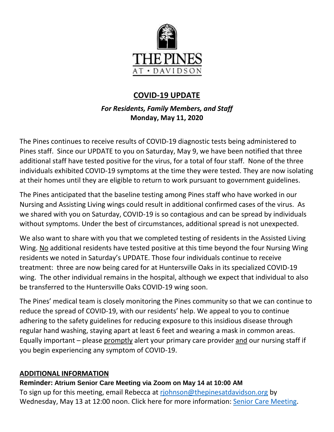

# **COVID-19 UPDATE**

# *For Residents, Family Members, and Staff* **Monday, May 11, 2020**

The Pines continues to receive results of COVID-19 diagnostic tests being administered to Pines staff. Since our UPDATE to you on Saturday, May 9, we have been notified that three additional staff have tested positive for the virus, for a total of four staff. None of the three individuals exhibited COVID-19 symptoms at the time they were tested. They are now isolating at their homes until they are eligible to return to work pursuant to government guidelines.

The Pines anticipated that the baseline testing among Pines staff who have worked in our Nursing and Assisting Living wings could result in additional confirmed cases of the virus. As we shared with you on Saturday, COVID-19 is so contagious and can be spread by individuals without symptoms. Under the best of circumstances, additional spread is not unexpected.

We also want to share with you that we completed testing of residents in the Assisted Living Wing. No additional residents have tested positive at this time beyond the four Nursing Wing residents we noted in Saturday's UPDATE. Those four individuals continue to receive treatment: three are now being cared for at Huntersville Oaks in its specialized COVID-19 wing. The other individual remains in the hospital, although we expect that individual to also be transferred to the Huntersville Oaks COVID-19 wing soon.

The Pines' medical team is closely monitoring the Pines community so that we can continue to reduce the spread of COVID-19, with our residents' help. We appeal to you to continue adhering to the safety guidelines for reducing exposure to this insidious disease through regular hand washing, staying apart at least 6 feet and wearing a mask in common areas. Equally important – please promptly alert your primary care provider and our nursing staff if you begin experiencing any symptom of COVID-19.

## **ADDITIONAL INFORMATION**

#### **Reminder: Atrium Senior Care Meeting via Zoom on May 14 at 10:00 AM**

To sign up for this meeting, email Rebecca at [rjohnson@thepinesatdavidson.org](mailto:rjohnson@thepinesatdavidson.org) by Wednesday, May 13 at 12:00 noon. Click here for more information: [Senior Care Meeting.](https://www.mycommunity-center.com/filephotos/463/Senior%20Care%20Zoom%20Meeting%20Announcement.pdf)